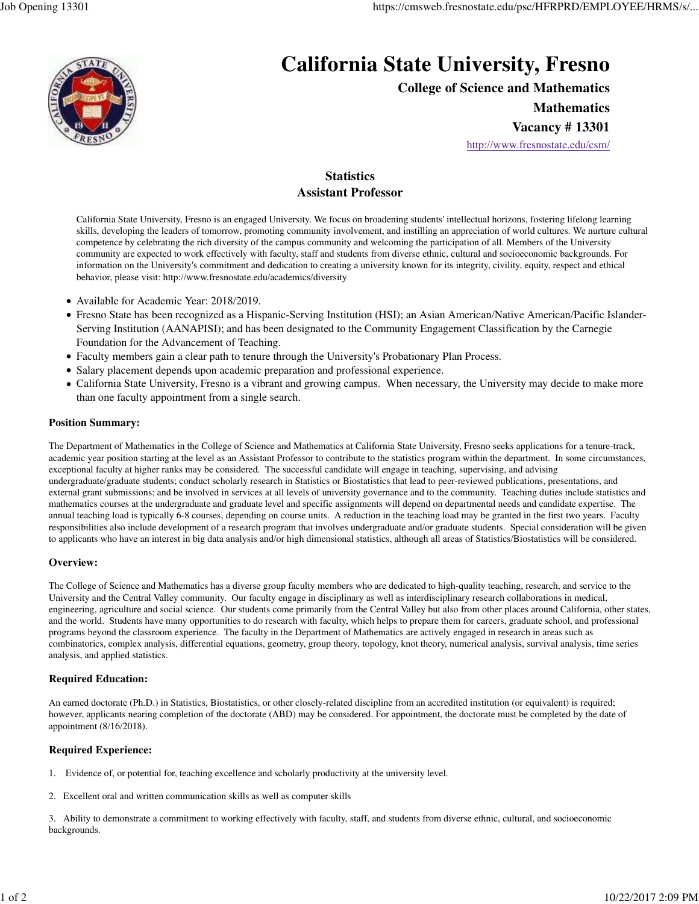

# **California State University, Fresno**

**College of Science and Mathematics**

**Mathematics**

**Vacancy # 13301**

http://www.fresnostate.edu/csm/

## **Statistics Assistant Professor**

California State University, Fresno is an engaged University. We focus on broadening students' intellectual horizons, fostering lifelong learning skills, developing the leaders of tomorrow, promoting community involvement, and instilling an appreciation of world cultures. We nurture cultural competence by celebrating the rich diversity of the campus community and welcoming the participation of all. Members of the University community are expected to work effectively with faculty, staff and students from diverse ethnic, cultural and socioeconomic backgrounds. For information on the University's commitment and dedication to creating a university known for its integrity, civility, equity, respect and ethical behavior, please visit: http://www.fresnostate.edu/academics/diversity

- Available for Academic Year: 2018/2019.
- Fresno State has been recognized as a Hispanic-Serving Institution (HSI); an Asian American/Native American/Pacific Islander-Serving Institution (AANAPISI); and has been designated to the Community Engagement Classification by the Carnegie Foundation for the Advancement of Teaching.
- Faculty members gain a clear path to tenure through the University's Probationary Plan Process.
- Salary placement depends upon academic preparation and professional experience.
- California State University, Fresno is a vibrant and growing campus. When necessary, the University may decide to make more than one faculty appointment from a single search.

#### **Position Summary:**

The Department of Mathematics in the College of Science and Mathematics at California State University, Fresno seeks applications for a tenure-track, academic year position starting at the level as an Assistant Professor to contribute to the statistics program within the department. In some circumstances, exceptional faculty at higher ranks may be considered. The successful candidate will engage in teaching, supervising, and advising undergraduate/graduate students; conduct scholarly research in Statistics or Biostatistics that lead to peer-reviewed publications, presentations, and external grant submissions; and be involved in services at all levels of university governance and to the community. Teaching duties include statistics and mathematics courses at the undergraduate and graduate level and specific assignments will depend on departmental needs and candidate expertise. The annual teaching load is typically 6-8 courses, depending on course units. A reduction in the teaching load may be granted in the first two years. Faculty responsibilities also include development of a research program that involves undergraduate and/or graduate students. Special consideration will be given to applicants who have an interest in big data analysis and/or high dimensional statistics, although all areas of Statistics/Biostatistics will be considered.

#### **Overview:**

The College of Science and Mathematics has a diverse group faculty members who are dedicated to high-quality teaching, research, and service to the University and the Central Valley community. Our faculty engage in disciplinary as well as interdisciplinary research collaborations in medical, engineering, agriculture and social science. Our students come primarily from the Central Valley but also from other places around California, other states, and the world. Students have many opportunities to do research with faculty, which helps to prepare them for careers, graduate school, and professional programs beyond the classroom experience. The faculty in the Department of Mathematics are actively engaged in research in areas such as combinatorics, complex analysis, differential equations, geometry, group theory, topology, knot theory, numerical analysis, survival analysis, time series analysis, and applied statistics.

#### **Required Education:**

An earned doctorate (Ph.D.) in Statistics, Biostatistics, or other closely-related discipline from an accredited institution (or equivalent) is required; however, applicants nearing completion of the doctorate (ABD) may be considered. For appointment, the doctorate must be completed by the date of appointment (8/16/2018).

#### **Required Experience:**

- 1. Evidence of, or potential for, teaching excellence and scholarly productivity at the university level.
- 2. Excellent oral and written communication skills as well as computer skills

3. Ability to demonstrate a commitment to working effectively with faculty, staff, and students from diverse ethnic, cultural, and socioeconomic backgrounds.